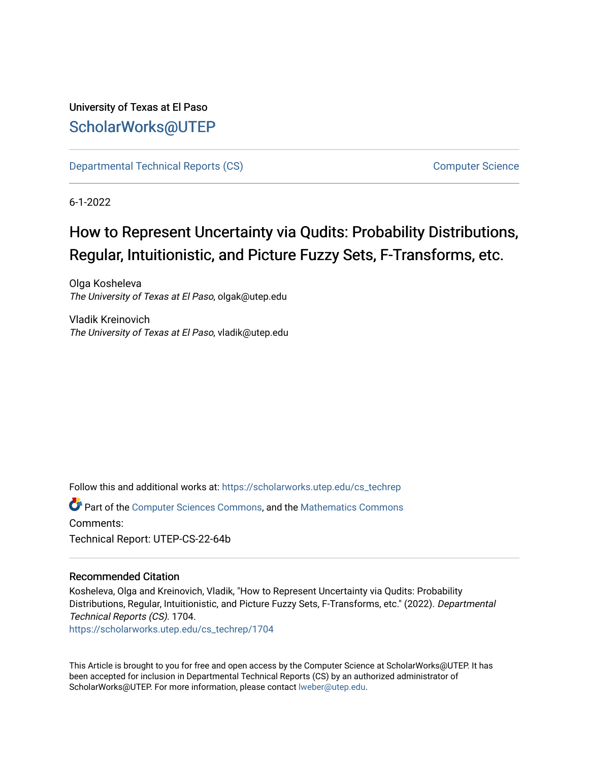#### University of Texas at El Paso [ScholarWorks@UTEP](https://scholarworks.utep.edu/)

[Departmental Technical Reports \(CS\)](https://scholarworks.utep.edu/cs_techrep) [Computer Science](https://scholarworks.utep.edu/computer) 

6-1-2022

# How to Represent Uncertainty via Qudits: Probability Distributions, Regular, Intuitionistic, and Picture Fuzzy Sets, F-Transforms, etc.

Olga Kosheleva The University of Texas at El Paso, olgak@utep.edu

Vladik Kreinovich The University of Texas at El Paso, vladik@utep.edu

Follow this and additional works at: [https://scholarworks.utep.edu/cs\\_techrep](https://scholarworks.utep.edu/cs_techrep?utm_source=scholarworks.utep.edu%2Fcs_techrep%2F1704&utm_medium=PDF&utm_campaign=PDFCoverPages) 

Part of the [Computer Sciences Commons](https://network.bepress.com/hgg/discipline/142?utm_source=scholarworks.utep.edu%2Fcs_techrep%2F1704&utm_medium=PDF&utm_campaign=PDFCoverPages), and the [Mathematics Commons](https://network.bepress.com/hgg/discipline/174?utm_source=scholarworks.utep.edu%2Fcs_techrep%2F1704&utm_medium=PDF&utm_campaign=PDFCoverPages)  Comments: Technical Report: UTEP-CS-22-64b

#### Recommended Citation

Kosheleva, Olga and Kreinovich, Vladik, "How to Represent Uncertainty via Qudits: Probability Distributions, Regular, Intuitionistic, and Picture Fuzzy Sets, F-Transforms, etc." (2022). Departmental Technical Reports (CS). 1704.

[https://scholarworks.utep.edu/cs\\_techrep/1704](https://scholarworks.utep.edu/cs_techrep/1704?utm_source=scholarworks.utep.edu%2Fcs_techrep%2F1704&utm_medium=PDF&utm_campaign=PDFCoverPages) 

This Article is brought to you for free and open access by the Computer Science at ScholarWorks@UTEP. It has been accepted for inclusion in Departmental Technical Reports (CS) by an authorized administrator of ScholarWorks@UTEP. For more information, please contact [lweber@utep.edu](mailto:lweber@utep.edu).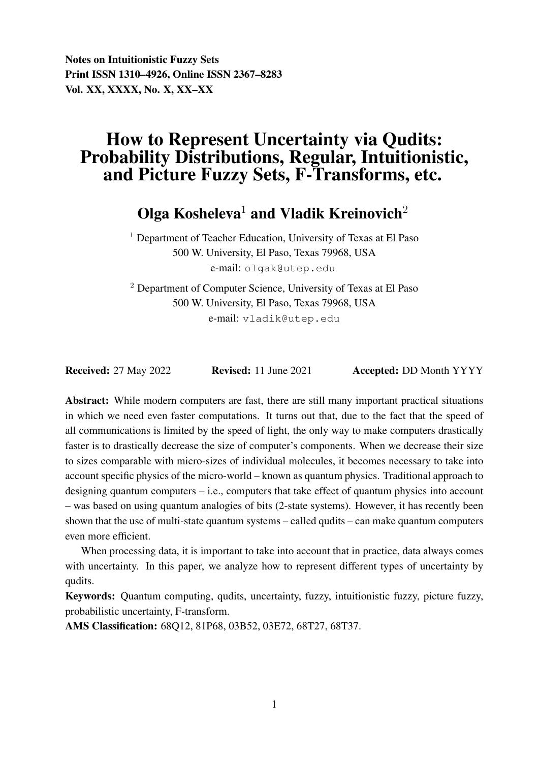Notes on Intuitionistic Fuzzy Sets Print ISSN 1310–4926, Online ISSN 2367–8283 Vol. XX, XXXX, No. X, XX–XX

## How to Represent Uncertainty via Qudits: Probability Distributions, Regular, Intuitionistic, and Picture Fuzzy Sets, F-Transforms, etc.

Olga Kosheleva<sup>1</sup> and Vladik Kreinovich<sup>2</sup>

 $<sup>1</sup>$  Department of Teacher Education, University of Texas at El Paso</sup> 500 W. University, El Paso, Texas 79968, USA e-mail: olgak@utep.edu

<sup>2</sup> Department of Computer Science, University of Texas at El Paso 500 W. University, El Paso, Texas 79968, USA e-mail: vladik@utep.edu

Received: 27 May 2022 Revised: 11 June 2021 Accepted: DD Month YYYY

Abstract: While modern computers are fast, there are still many important practical situations in which we need even faster computations. It turns out that, due to the fact that the speed of all communications is limited by the speed of light, the only way to make computers drastically faster is to drastically decrease the size of computer's components. When we decrease their size to sizes comparable with micro-sizes of individual molecules, it becomes necessary to take into account specific physics of the micro-world – known as quantum physics. Traditional approach to designing quantum computers – i.e., computers that take effect of quantum physics into account – was based on using quantum analogies of bits (2-state systems). However, it has recently been shown that the use of multi-state quantum systems – called qudits – can make quantum computers even more efficient.

When processing data, it is important to take into account that in practice, data always comes with uncertainty. In this paper, we analyze how to represent different types of uncertainty by qudits.

Keywords: Quantum computing, qudits, uncertainty, fuzzy, intuitionistic fuzzy, picture fuzzy, probabilistic uncertainty, F-transform.

AMS Classification: 68Q12, 81P68, 03B52, 03E72, 68T27, 68T37.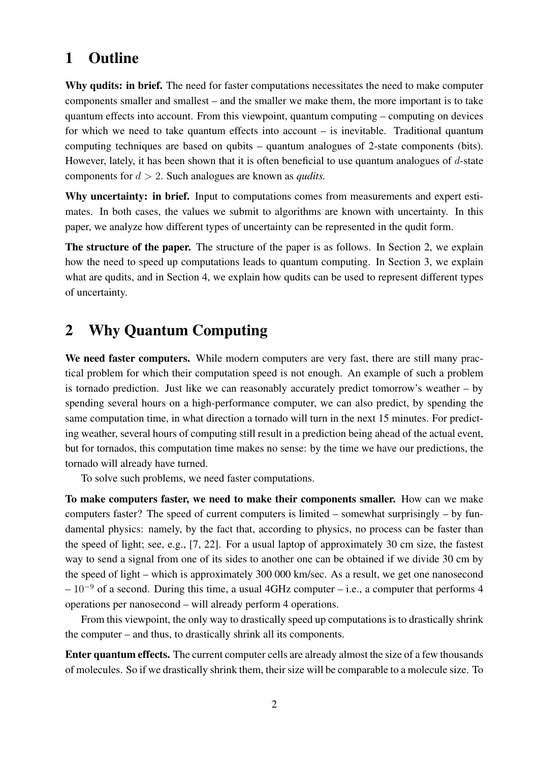## 1 Outline

Why qudits: in brief. The need for faster computations necessitates the need to make computer components smaller and smallest – and the smaller we make them, the more important is to take quantum effects into account. From this viewpoint, quantum computing – computing on devices for which we need to take quantum effects into account – is inevitable. Traditional quantum computing techniques are based on qubits – quantum analogues of 2-state components (bits). However, lately, it has been shown that it is often beneficial to use quantum analogues of  $d$ -state components for d > 2. Such analogues are known as *qudits.*

Why uncertainty: in brief. Input to computations comes from measurements and expert estimates. In both cases, the values we submit to algorithms are known with uncertainty. In this paper, we analyze how different types of uncertainty can be represented in the qudit form.

The structure of the paper. The structure of the paper is as follows. In Section 2, we explain how the need to speed up computations leads to quantum computing. In Section 3, we explain what are qudits, and in Section 4, we explain how qudits can be used to represent different types of uncertainty.

## 2 Why Quantum Computing

We need faster computers. While modern computers are very fast, there are still many practical problem for which their computation speed is not enough. An example of such a problem is tornado prediction. Just like we can reasonably accurately predict tomorrow's weather – by spending several hours on a high-performance computer, we can also predict, by spending the same computation time, in what direction a tornado will turn in the next 15 minutes. For predicting weather, several hours of computing still result in a prediction being ahead of the actual event, but for tornados, this computation time makes no sense: by the time we have our predictions, the tornado will already have turned.

To solve such problems, we need faster computations.

To make computers faster, we need to make their components smaller. How can we make computers faster? The speed of current computers is limited – somewhat surprisingly – by fundamental physics: namely, by the fact that, according to physics, no process can be faster than the speed of light; see, e.g., [7, 22]. For a usual laptop of approximately 30 cm size, the fastest way to send a signal from one of its sides to another one can be obtained if we divide 30 cm by the speed of light – which is approximately 300 000 km/sec. As a result, we get one nanosecond  $-10^{-9}$  of a second. During this time, a usual 4GHz computer – i.e., a computer that performs 4 operations per nanosecond – will already perform 4 operations.

From this viewpoint, the only way to drastically speed up computations is to drastically shrink the computer – and thus, to drastically shrink all its components.

Enter quantum effects. The current computer cells are already almost the size of a few thousands of molecules. So if we drastically shrink them, their size will be comparable to a molecule size. To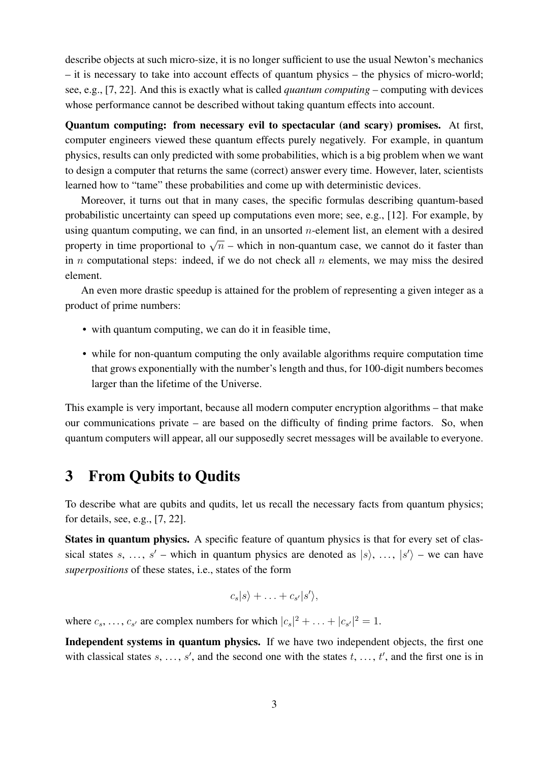describe objects at such micro-size, it is no longer sufficient to use the usual Newton's mechanics – it is necessary to take into account effects of quantum physics – the physics of micro-world; see, e.g., [7, 22]. And this is exactly what is called *quantum computing* – computing with devices whose performance cannot be described without taking quantum effects into account.

Quantum computing: from necessary evil to spectacular (and scary) promises. At first, computer engineers viewed these quantum effects purely negatively. For example, in quantum physics, results can only predicted with some probabilities, which is a big problem when we want to design a computer that returns the same (correct) answer every time. However, later, scientists learned how to "tame" these probabilities and come up with deterministic devices.

Moreover, it turns out that in many cases, the specific formulas describing quantum-based probabilistic uncertainty can speed up computations even more; see, e.g., [12]. For example, by using quantum computing, we can find, in an unsorted  $n$ -element list, an element with a desired property in time proportional to  $\sqrt{n}$  – which in non-quantum case, we cannot do it faster than in n computational steps: indeed, if we do not check all  $n$  elements, we may miss the desired element.

An even more drastic speedup is attained for the problem of representing a given integer as a product of prime numbers:

- with quantum computing, we can do it in feasible time,
- while for non-quantum computing the only available algorithms require computation time that grows exponentially with the number's length and thus, for 100-digit numbers becomes larger than the lifetime of the Universe.

This example is very important, because all modern computer encryption algorithms – that make our communications private – are based on the difficulty of finding prime factors. So, when quantum computers will appear, all our supposedly secret messages will be available to everyone.

## 3 From Qubits to Qudits

To describe what are qubits and qudits, let us recall the necessary facts from quantum physics; for details, see, e.g., [7, 22].

States in quantum physics. A specific feature of quantum physics is that for every set of classical states s, ..., s' – which in quantum physics are denoted as  $|s\rangle$ , ...,  $|s'\rangle$  – we can have *superpositions* of these states, i.e., states of the form

$$
c_s|s\rangle + \ldots + c_{s'}|s'\rangle,
$$

where  $c_s$ , ...,  $c_{s'}$  are complex numbers for which  $|c_s|^2 + \ldots + |c_{s'}|^2 = 1$ .

Independent systems in quantum physics. If we have two independent objects, the first one with classical states  $s, \ldots, s'$ , and the second one with the states  $t, \ldots, t'$ , and the first one is in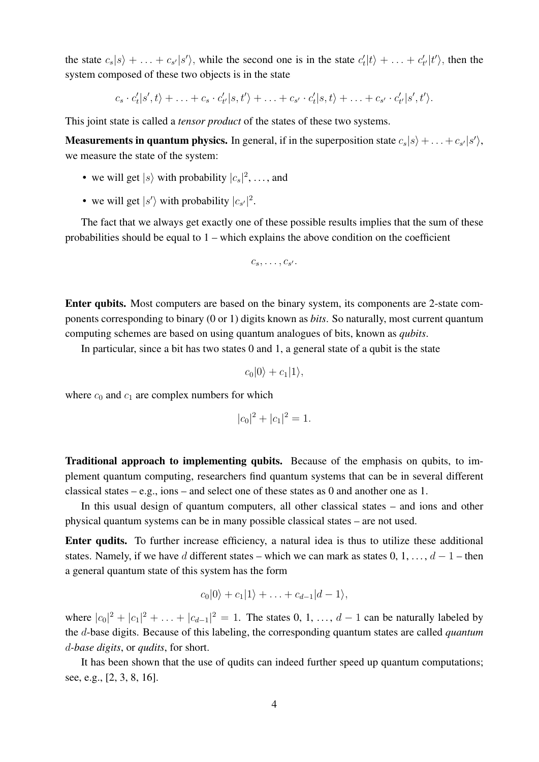the state  $c_s|s\rangle + \ldots + c_{s'}|s'\rangle$ , while the second one is in the state  $c'_t|t\rangle + \ldots + c'_{t'}|t'\rangle$ , then the system composed of these two objects is in the state

 $c_s \cdot c'_t | s', t \rangle + \ldots + c_s \cdot c'_{t'} | s, t' \rangle + \ldots + c_{s'} \cdot c'_t | s, t \rangle + \ldots + c_{s'} \cdot c'_{t'} | s', t' \rangle.$ 

This joint state is called a *tensor product* of the states of these two systems.

**Measurements in quantum physics.** In general, if in the superposition state  $c_s|s\rangle + \ldots + c_{s'}|s'\rangle$ , we measure the state of the system:

- we will get  $|s\rangle$  with probability  $|c_s|^2$ , ..., and
- we will get  $|s'\rangle$  with probability  $|c_{s'}|^2$ .

The fact that we always get exactly one of these possible results implies that the sum of these probabilities should be equal to 1 – which explains the above condition on the coefficient

$$
c_s,\ldots,c_{s'}.
$$

Enter qubits. Most computers are based on the binary system, its components are 2-state components corresponding to binary (0 or 1) digits known as *bits*. So naturally, most current quantum computing schemes are based on using quantum analogues of bits, known as *qubits*.

In particular, since a bit has two states 0 and 1, a general state of a qubit is the state

$$
c_0|0\rangle + c_1|1\rangle,
$$

where  $c_0$  and  $c_1$  are complex numbers for which

$$
|c_0|^2 + |c_1|^2 = 1.
$$

Traditional approach to implementing qubits. Because of the emphasis on qubits, to implement quantum computing, researchers find quantum systems that can be in several different classical states – e.g., ions – and select one of these states as 0 and another one as 1.

In this usual design of quantum computers, all other classical states – and ions and other physical quantum systems can be in many possible classical states – are not used.

Enter qudits. To further increase efficiency, a natural idea is thus to utilize these additional states. Namely, if we have d different states – which we can mark as states  $0, 1, \ldots, d - 1$  – then a general quantum state of this system has the form

$$
c_0|0\rangle + c_1|1\rangle + \ldots + c_{d-1}|d-1\rangle,
$$

where  $|c_0|^2 + |c_1|^2 + \ldots + |c_{d-1}|^2 = 1$ . The states 0, 1, ...,  $d-1$  can be naturally labeled by the d-base digits. Because of this labeling, the corresponding quantum states are called *quantum* d*-base digits*, or *qudits*, for short.

It has been shown that the use of qudits can indeed further speed up quantum computations; see, e.g., [2, 3, 8, 16].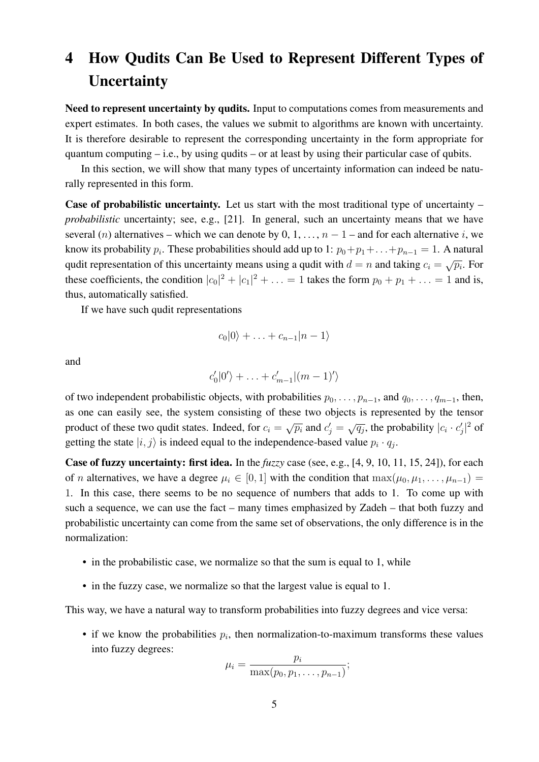# 4 How Qudits Can Be Used to Represent Different Types of **Uncertainty**

Need to represent uncertainty by qudits. Input to computations comes from measurements and expert estimates. In both cases, the values we submit to algorithms are known with uncertainty. It is therefore desirable to represent the corresponding uncertainty in the form appropriate for quantum computing  $-i.e.,$  by using qudits – or at least by using their particular case of qubits.

In this section, we will show that many types of uncertainty information can indeed be naturally represented in this form.

Case of probabilistic uncertainty. Let us start with the most traditional type of uncertainty – *probabilistic* uncertainty; see, e.g., [21]. In general, such an uncertainty means that we have several (n) alternatives – which we can denote by 0, 1, ...,  $n-1$  – and for each alternative i, we know its probability  $p_i$ . These probabilities should add up to 1:  $p_0+p_1+\ldots+p_{n-1}=1$ . A natural qudit representation of this uncertainty means using a qudit with  $d = n$  and taking  $c_i = \sqrt{p_i}$ . For these coefficients, the condition  $|c_0|^2 + |c_1|^2 + \ldots = 1$  takes the form  $p_0 + p_1 + \ldots = 1$  and is, thus, automatically satisfied.

If we have such qudit representations

$$
c_0|0\rangle + \ldots + c_{n-1}|n-1\rangle
$$

and

$$
c'_0|0'\rangle + \ldots + c'_{m-1}|(m-1)'\rangle
$$

of two independent probabilistic objects, with probabilities  $p_0, \ldots, p_{n-1}$ , and  $q_0, \ldots, q_{m-1}$ , then, as one can easily see, the system consisting of these two objects is represented by the tensor product of these two qudit states. Indeed, for  $c_i = \sqrt{p_i}$  and  $c'_j = \sqrt{q_j}$ , the probability  $|c_i \cdot c'_j|^2$  of getting the state  $|i, j\rangle$  is indeed equal to the independence-based value  $p_i \cdot q_j$ .

Case of fuzzy uncertainty: first idea. In the *fuzzy* case (see, e.g., [4, 9, 10, 11, 15, 24]), for each of n alternatives, we have a degree  $\mu_i \in [0, 1]$  with the condition that  $\max(\mu_0, \mu_1, \dots, \mu_{n-1}) =$ 1. In this case, there seems to be no sequence of numbers that adds to 1. To come up with such a sequence, we can use the fact – many times emphasized by Zadeh – that both fuzzy and probabilistic uncertainty can come from the same set of observations, the only difference is in the normalization:

- in the probabilistic case, we normalize so that the sum is equal to 1, while
- in the fuzzy case, we normalize so that the largest value is equal to 1.

This way, we have a natural way to transform probabilities into fuzzy degrees and vice versa:

• if we know the probabilities  $p_i$ , then normalization-to-maximum transforms these values into fuzzy degrees: m

$$
\mu_i = \frac{p_i}{\max(p_0, p_1, \ldots, p_{n-1})};
$$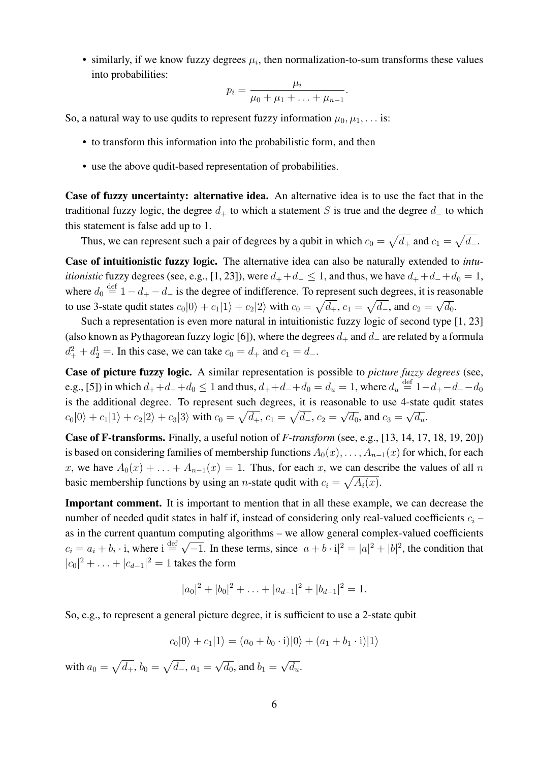• similarly, if we know fuzzy degrees  $\mu_i$ , then normalization-to-sum transforms these values into probabilities:

$$
p_i = \frac{\mu_i}{\mu_0 + \mu_1 + \ldots + \mu_{n-1}}.
$$

So, a natural way to use qudits to represent fuzzy information  $\mu_0, \mu_1, \ldots$  is:

- to transform this information into the probabilistic form, and then
- use the above qudit-based representation of probabilities.

Case of fuzzy uncertainty: alternative idea. An alternative idea is to use the fact that in the traditional fuzzy logic, the degree  $d_+$  to which a statement S is true and the degree  $d_-$  to which this statement is false add up to 1.

Thus, we can represent such a pair of degrees by a qubit in which  $c_0 = \sqrt{d_+}$  and  $c_1 = \sqrt{d_-}$ .

Case of intuitionistic fuzzy logic. The alternative idea can also be naturally extended to *intuitionistic* fuzzy degrees (see, e.g., [1, 23]), were  $d_{+} + d_{-} \leq 1$ , and thus, we have  $d_{+} + d_{-} + d_{0} = 1$ , where  $d_0 \stackrel{\text{def}}{=} 1 - d_+ - d_-$  is the degree of indifference. To represent such degrees, it is reasonable to use 3-state qudit states  $c_0|0\rangle + c_1|1\rangle + c_2|2\rangle$  with  $c_0 = \sqrt{d_+}$ ,  $c_1 = \sqrt{d_-}$ , and  $c_2 = \sqrt{d_0}$ .

Such a representation is even more natural in intuitionistic fuzzy logic of second type [1, 23] (also known as Pythagorean fuzzy logic [6]), where the degrees  $d_+$  and  $d_-$  are related by a formula  $d_+^2 + d_2^1 =$ . In this case, we can take  $c_0 = d_+$  and  $c_1 = d_-$ .

Case of picture fuzzy logic. A similar representation is possible to *picture fuzzy degrees* (see, e.g., [5]) in which  $d_+ + d_- + d_0 \le 1$  and thus,  $d_+ + d_- + d_0 = d_u = 1$ , where  $d_u \stackrel{\text{def}}{=} 1 - d_+ - d_- - d_0$ is the additional degree. To represent such degrees, it is reasonable to use 4-state qudit states  $|c_0|0\rangle + c_1|1\rangle + c_2|2\rangle + c_3|3\rangle$  with  $c_0 = \sqrt{d_+}, c_1 = \sqrt{d_-}, c_2 =$ √  $\overline{d_0}$ , and  $c_3 =$ √  $\overline{d_u}$ .

Case of F-transforms. Finally, a useful notion of *F-transform* (see, e.g., [13, 14, 17, 18, 19, 20]) is based on considering families of membership functions  $A_0(x), \ldots, A_{n-1}(x)$  for which, for each x, we have  $A_0(x) + \ldots + A_{n-1}(x) = 1$ . Thus, for each x, we can describe the values of all n basic membership functions by using an *n*-state qudit with  $c_i = \sqrt{A_i(x)}$ .

Important comment. It is important to mention that in all these example, we can decrease the number of needed qudit states in half if, instead of considering only real-valued coefficients  $c_i$  – as in the current quantum computing algorithms – we allow general complex-valued coefficients  $c_i = a_i + b_i \cdot i$ , where  $i \stackrel{\text{def}}{=} \sqrt{ }$  $\overline{-1}$ . In these terms, since  $|a + b \cdot i|^2 = |a|^2 + |b|^2$ , the condition that  $|c_0|^2 + \ldots + |c_{d-1}|^2 = 1$  takes the form

$$
|a_0|^2 + |b_0|^2 + \ldots + |a_{d-1}|^2 + |b_{d-1}|^2 = 1.
$$

So, e.g., to represent a general picture degree, it is sufficient to use a 2-state qubit

$$
c_0|0\rangle + c_1|1\rangle = (a_0 + b_0 \cdot i)|0\rangle + (a_1 + b_1 \cdot i)|1\rangle
$$

with  $a_0 = \sqrt{d_+}, b_0 = \sqrt{d_-}, a_1 =$ √  $\overline{d_0}$ , and  $b_1 =$ √  $\overline{d_u}$ .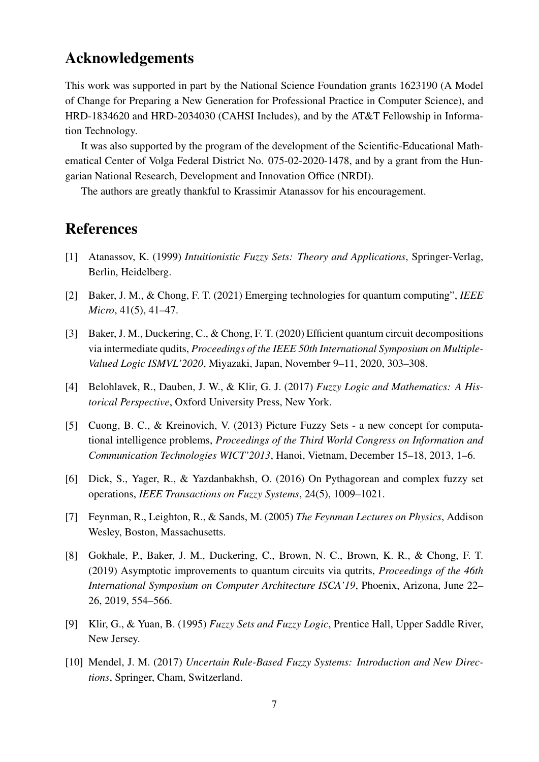## Acknowledgements

This work was supported in part by the National Science Foundation grants 1623190 (A Model of Change for Preparing a New Generation for Professional Practice in Computer Science), and HRD-1834620 and HRD-2034030 (CAHSI Includes), and by the AT&T Fellowship in Information Technology.

It was also supported by the program of the development of the Scientific-Educational Mathematical Center of Volga Federal District No. 075-02-2020-1478, and by a grant from the Hungarian National Research, Development and Innovation Office (NRDI).

The authors are greatly thankful to Krassimir Atanassov for his encouragement.

## **References**

- [1] Atanassov, K. (1999) *Intuitionistic Fuzzy Sets: Theory and Applications*, Springer-Verlag, Berlin, Heidelberg.
- [2] Baker, J. M., & Chong, F. T. (2021) Emerging technologies for quantum computing", *IEEE Micro*, 41(5), 41–47.
- [3] Baker, J. M., Duckering, C., & Chong, F. T. (2020) Efficient quantum circuit decompositions via intermediate qudits, *Proceedings of the IEEE 50th International Symposium on Multiple-Valued Logic ISMVL'2020*, Miyazaki, Japan, November 9–11, 2020, 303–308.
- [4] Belohlavek, R., Dauben, J. W., & Klir, G. J. (2017) *Fuzzy Logic and Mathematics: A Historical Perspective*, Oxford University Press, New York.
- [5] Cuong, B. C., & Kreinovich, V. (2013) Picture Fuzzy Sets a new concept for computational intelligence problems, *Proceedings of the Third World Congress on Information and Communication Technologies WICT'2013*, Hanoi, Vietnam, December 15–18, 2013, 1–6.
- [6] Dick, S., Yager, R., & Yazdanbakhsh, O. (2016) On Pythagorean and complex fuzzy set operations, *IEEE Transactions on Fuzzy Systems*, 24(5), 1009–1021.
- [7] Feynman, R., Leighton, R., & Sands, M. (2005) *The Feynman Lectures on Physics*, Addison Wesley, Boston, Massachusetts.
- [8] Gokhale, P., Baker, J. M., Duckering, C., Brown, N. C., Brown, K. R., & Chong, F. T. (2019) Asymptotic improvements to quantum circuits via qutrits, *Proceedings of the 46th International Symposium on Computer Architecture ISCA'19*, Phoenix, Arizona, June 22– 26, 2019, 554–566.
- [9] Klir, G., & Yuan, B. (1995) *Fuzzy Sets and Fuzzy Logic*, Prentice Hall, Upper Saddle River, New Jersey.
- [10] Mendel, J. M. (2017) *Uncertain Rule-Based Fuzzy Systems: Introduction and New Directions*, Springer, Cham, Switzerland.